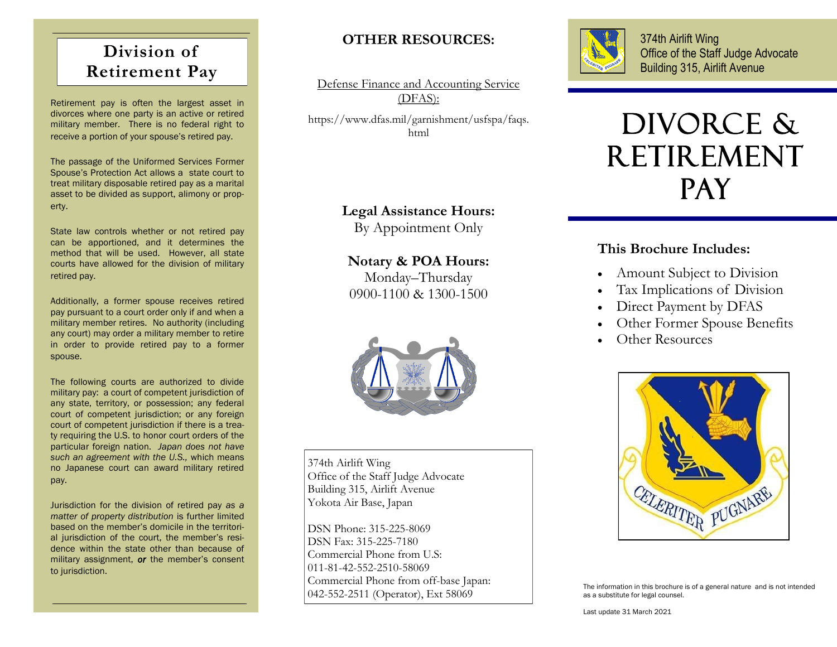# **Division of Retirement Pay**

Retirement pay is often the largest asset in divorces where one party is an active or retired military member. There is no federal right to receive a portion of your spouse's retired pay.

The passage of the Uniformed Services Former Spouse's Protection Act allows a state court to treat military disposable retired pay as a marital asset to be divided as support, alimony or property.

State law controls whether or not retired pay can be apportioned, and it determines the method that will be used. However, all state courts have allowed for the division of military retired pay.

Additionally, a former spouse receives retired pay pursuant to a court order only if and when a military member retires. No authority (including any court) may order a military member to retire in order to provide retired pay to a former spouse.

The following courts are authorized to divide military pay: a court of competent jurisdiction of any state, territory, or possession; any federal court of competent jurisdiction; or any foreign court of competent jurisdiction if there is a treaty requiring the U.S. to honor court orders of the particular foreign nation. *Japan does not have such an agreement with the U.S.,* which means no Japanese court can award military retired pay.

Jurisdiction for the division of retired pay *as a matter of property distribution* is further limited based on the member's domicile in the territorial jurisdiction of the court, the member's residence within the state other than because of military assignment, *or* the member's consent to jurisdiction.

# **OTHER RESOURCES:**

Defense Finance and Accounting Service (DFAS): https://www.dfas.mil/garnishment/usfspa/faqs. html

#### **Legal Assistance Hours:**

By Appointment Only

## **Notary & POA Hours:**

Monday–Thursday 0900-1100 & 1300-1500



374th Airlift Wing Office of the Staff Judge Advocate Building 315, Airlift Avenue Yokota Air Base, Japan

DSN Phone: 315-225-8069 DSN Fax: 315-225-7180 Commercial Phone from U.S: 011-81-42-552-2510-58069 Commercial Phone from off-base Japan: 042-552-2511 (Operator), Ext 58069



374th Airlift Wing Office of the Staff Judge Advocate Building 315, Airlift Avenue

# DIVORCE & **RETIREMENT PAY**

### **This Brochure Includes:**

- Amount Subject to Division
- Tax Implications of Division
- Direct Payment by DFAS
- Other Former Spouse Benefits
- Other Resources



The information in this brochure is of a general nature and is not intended as a substitute for legal counsel.